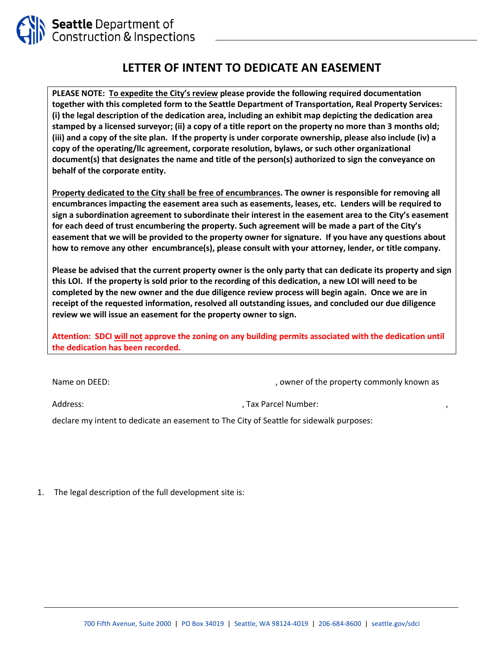

## **LETTER OF INTENT TO DEDICATE AN EASEMENT**

**PLEASE NOTE: To expedite the City's review please provide the following required documentation together with this completed form to the Seattle Department of Transportation, Real Property Services: (i) the legal description of the dedication area, including an exhibit map depicting the dedication area stamped by a licensed surveyor; (ii) a copy of a title report on the property no more than 3 months old; (iii) and a copy of the site plan. If the property is under corporate ownership, please also include (iv) a copy of the operating/llc agreement, corporate resolution, bylaws, or such other organizational document(s) that designates the name and title of the person(s) authorized to sign the conveyance on behalf of the corporate entity.**

**Property dedicated to the City shall be free of encumbrances. The owner is responsible for removing all encumbrances impacting the easement area such as easements, leases, etc. Lenders will be required to sign a subordination agreement to subordinate their interest in the easement area to the City's easement for each deed of trust encumbering the property. Such agreement will be made a part of the City's easement that we will be provided to the property owner for signature. If you have any questions about how to remove any other encumbrance(s), please consult with your attorney, lender, or title company.** 

**Please be advised that the current property owner is the only party that can dedicate its property and sign this LOI. If the property is sold prior to the recording of this dedication, a new LOI will need to be completed by the new owner and the due diligence review process will begin again. Once we are in receipt of the requested information, resolved all outstanding issues, and concluded our due diligence review we will issue an easement for the property owner to sign.** 

**Attention: SDCI will not approve the zoning on any building permits associated with the dedication until the dedication has been recorded.**

Name on DEED:  $\blacksquare$  , owner of the property commonly known as

Address:  $\qquad \qquad \qquad$  , Tax Parcel Number:

declare my intent to dedicate an easement to The City of Seattle for sidewalk purposes:

1. The legal description of the full development site is: